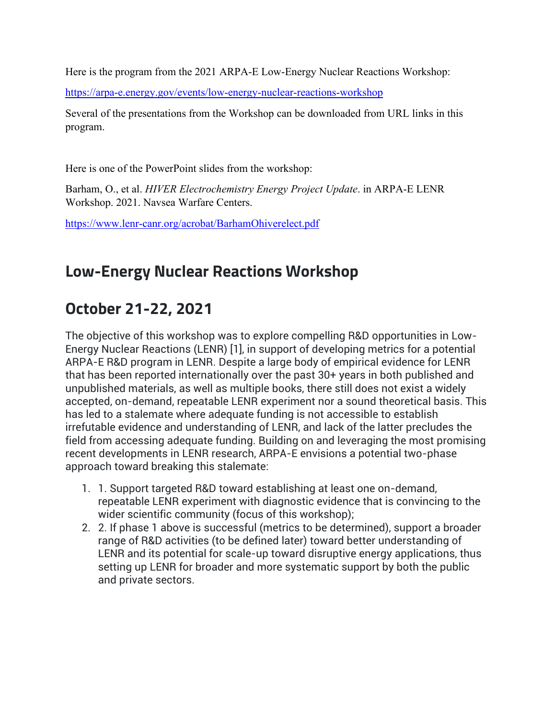Here is the program from the 2021 ARPA-E Low-Energy Nuclear Reactions Workshop:

<https://arpa-e.energy.gov/events/low-energy-nuclear-reactions-workshop>

Several of the presentations from the Workshop can be downloaded from URL links in this program.

Here is one of the PowerPoint slides from the workshop:

Barham, O., et al. *HIVER Electrochemistry Energy Project Update*. in ARPA-E LENR Workshop. 2021. Navsea Warfare Centers.

<https://www.lenr-canr.org/acrobat/BarhamOhiverelect.pdf>

#### **Low-Energy Nuclear Reactions Workshop**

## **October 21-22, 2021**

The objective of this workshop was to explore compelling R&D opportunities in Low-Energy Nuclear Reactions (LENR) [1], in support of developing metrics for a potential ARPA-E R&D program in LENR. Despite a large body of empirical evidence for LENR that has been reported internationally over the past 30+ years in both published and unpublished materials, as well as multiple books, there still does not exist a widely accepted, on-demand, repeatable LENR experiment nor a sound theoretical basis. This has led to a stalemate where adequate funding is not accessible to establish irrefutable evidence and understanding of LENR, and lack of the latter precludes the field from accessing adequate funding. Building on and leveraging the most promising recent developments in LENR research, ARPA-E envisions a potential two-phase approach toward breaking this stalemate:

- 1. 1. Support targeted R&D toward establishing at least one on-demand, repeatable LENR experiment with diagnostic evidence that is convincing to the wider scientific community (focus of this workshop);
- 2. 2. If phase 1 above is successful (metrics to be determined), support a broader range of R&D activities (to be defined later) toward better understanding of LENR and its potential for scale-up toward disruptive energy applications, thus setting up LENR for broader and more systematic support by both the public and private sectors.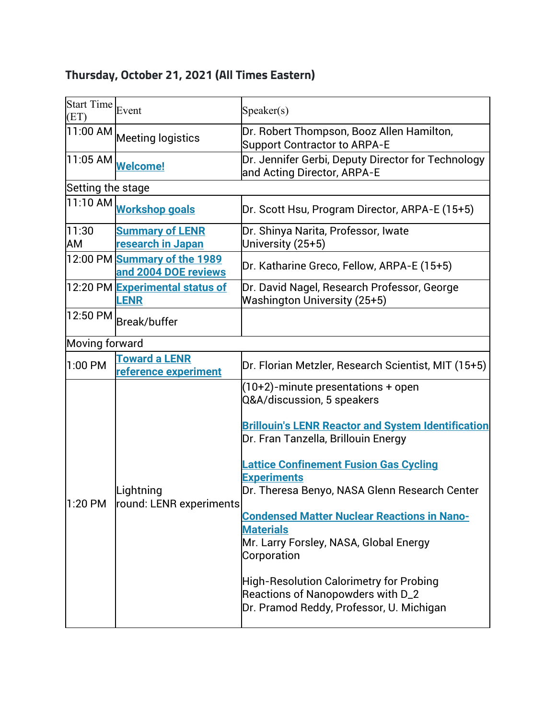## **Thursday, October 21, 2021 (All Times Eastern)**

| Start Time Event<br>(ET) |                                                                  | S <sub>p</sub> eaker(s)                                                                                                         |
|--------------------------|------------------------------------------------------------------|---------------------------------------------------------------------------------------------------------------------------------|
|                          | $\boxed{11:}00$ AM $_{\big\vert\text{Meeting}\text{ logistics}}$ | Dr. Robert Thompson, Booz Allen Hamilton,<br><b>Support Contractor to ARPA-E</b>                                                |
| 11:05 AM                 | <b>Welcome!</b>                                                  | Dr. Jennifer Gerbi, Deputy Director for Technology<br>and Acting Director, ARPA-E                                               |
| Setting the stage        |                                                                  |                                                                                                                                 |
| 11:10 AM                 | <b>Workshop goals</b>                                            | Dr. Scott Hsu, Program Director, ARPA-E (15+5)                                                                                  |
| 11:30<br>AM              | <b>Summary of LENR</b><br>research in Japan                      | Dr. Shinya Narita, Professor, Iwate<br>University (25+5)                                                                        |
|                          | 12:00 PM Summary of the 1989<br>and 2004 DOE reviews             | Dr. Katharine Greco, Fellow, ARPA-E (15+5)                                                                                      |
|                          | 12:20 PM Experimental status of<br><b>LENR</b>                   | Dr. David Nagel, Research Professor, George<br><b>Washington University (25+5)</b>                                              |
|                          | $\overline{ 12:}50$ PM $ _\text{Break/bul}$ ffer                 |                                                                                                                                 |
| <b>Moving forward</b>    |                                                                  |                                                                                                                                 |
| 1:00 PM                  | <b>Toward a LENR</b><br>reference experiment                     | Dr. Florian Metzler, Research Scientist, MIT (15+5)                                                                             |
| 1:20 PM                  | Lightning<br> round: LENR experiments                            | $(10+2)$ -minute presentations + open<br>Q&A/discussion, 5 speakers                                                             |
|                          |                                                                  | <b>Brillouin's LENR Reactor and System Identification</b><br>Dr. Fran Tanzella, Brillouin Energy                                |
|                          |                                                                  | <b>Lattice Confinement Fusion Gas Cycling</b><br><b>Experiments</b><br>Dr. Theresa Benyo, NASA Glenn Research Center            |
|                          |                                                                  | <b>Condensed Matter Nuclear Reactions in Nano-</b><br><b>Materials</b><br>Mr. Larry Forsley, NASA, Global Energy<br>Corporation |
|                          |                                                                  | High-Resolution Calorimetry for Probing<br>Reactions of Nanopowders with D_2<br>Dr. Pramod Reddy, Professor, U. Michigan        |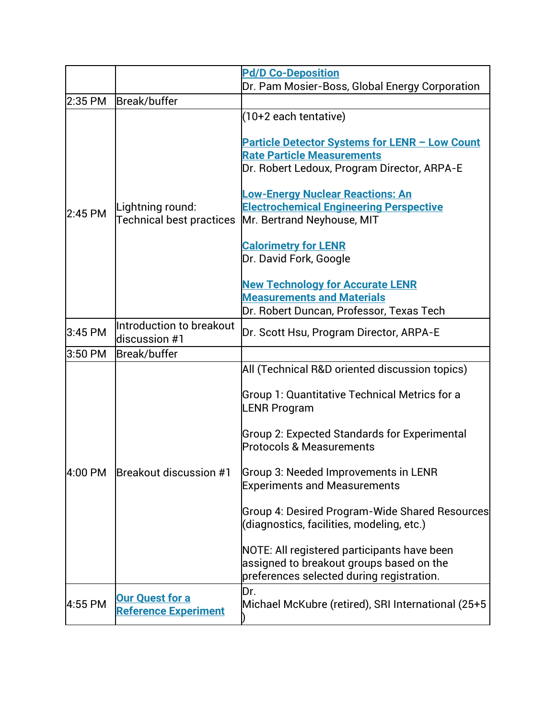|         |                                                       | <b>Pd/D Co-Deposition</b><br>Dr. Pam Mosier-Boss, Global Energy Corporation                                                                                                                                                                                                                                                                                                                                                                                                                                                                |
|---------|-------------------------------------------------------|--------------------------------------------------------------------------------------------------------------------------------------------------------------------------------------------------------------------------------------------------------------------------------------------------------------------------------------------------------------------------------------------------------------------------------------------------------------------------------------------------------------------------------------------|
| 2:35 PM | Break/buffer                                          |                                                                                                                                                                                                                                                                                                                                                                                                                                                                                                                                            |
| 2:45 PM | Lightning round:<br><b>Technical best practices</b>   | (10+2 each tentative)<br><b>Particle Detector Systems for LENR - Low Count</b><br><b>Rate Particle Measurements</b><br>Dr. Robert Ledoux, Program Director, ARPA-E                                                                                                                                                                                                                                                                                                                                                                         |
|         |                                                       | <b>Low-Energy Nuclear Reactions: An</b><br><b>Electrochemical Engineering Perspective</b><br>Mr. Bertrand Neyhouse, MIT                                                                                                                                                                                                                                                                                                                                                                                                                    |
|         |                                                       | <b>Calorimetry for LENR</b><br>Dr. David Fork, Google                                                                                                                                                                                                                                                                                                                                                                                                                                                                                      |
|         |                                                       | <b>New Technology for Accurate LENR</b><br><b>Measurements and Materials</b><br>Dr. Robert Duncan, Professor, Texas Tech                                                                                                                                                                                                                                                                                                                                                                                                                   |
| 3:45 PM | Introduction to breakout<br>$distance$ $#1$           | Dr. Scott Hsu, Program Director, ARPA-E                                                                                                                                                                                                                                                                                                                                                                                                                                                                                                    |
| 3:50 PM | Break/buffer                                          |                                                                                                                                                                                                                                                                                                                                                                                                                                                                                                                                            |
| 4:00 PM | <b>Breakout discussion #1</b>                         | All (Technical R&D oriented discussion topics)<br>Group 1: Quantitative Technical Metrics for a<br><b>LENR Program</b><br><b>Group 2: Expected Standards for Experimental</b><br><b>Protocols &amp; Measurements</b><br>Group 3: Needed Improvements in LENR<br><b>Experiments and Measurements</b><br>Group 4: Desired Program-Wide Shared Resources<br>(diagnostics, facilities, modeling, etc.)<br>NOTE: All registered participants have been<br>assigned to breakout groups based on the<br>preferences selected during registration. |
| 4:55 PM | <b>Our Quest for a</b><br><b>Reference Experiment</b> | Dr.<br>Michael McKubre (retired), SRI International (25+5                                                                                                                                                                                                                                                                                                                                                                                                                                                                                  |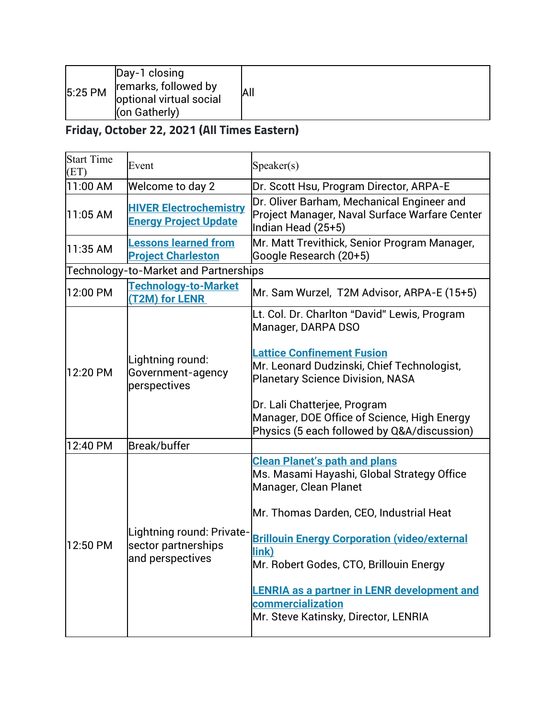| Day-1 closing<br>remarks, followed by<br>$5:25$ PM<br>optional virtual social<br>(on Gatherly) | All |
|------------------------------------------------------------------------------------------------|-----|
|------------------------------------------------------------------------------------------------|-----|

#### **Friday, October 22, 2021 (All Times Eastern)**

| <b>Start Time</b><br>(ET)             | Event                                                                | S <sub>p</sub> eaker(s)                                                                                                    |  |  |
|---------------------------------------|----------------------------------------------------------------------|----------------------------------------------------------------------------------------------------------------------------|--|--|
| 11:00 AM                              | Welcome to day 2                                                     | Dr. Scott Hsu, Program Director, ARPA-E                                                                                    |  |  |
| 11:05 AM                              | <b>HIVER Electrochemistry</b><br><b>Energy Project Update</b>        | Dr. Oliver Barham, Mechanical Engineer and<br>Project Manager, Naval Surface Warfare Center<br>Indian Head (25+5)          |  |  |
| 11:35 AM                              | <b>Lessons learned from</b><br><b>Project Charleston</b>             | Mr. Matt Trevithick, Senior Program Manager,<br>Google Research (20+5)                                                     |  |  |
| Technology-to-Market and Partnerships |                                                                      |                                                                                                                            |  |  |
| 12:00 PM                              | Technology-to-Market<br>(T2M) for LENR                               | Mr. Sam Wurzel, T2M Advisor, ARPA-E (15+5)                                                                                 |  |  |
|                                       |                                                                      | Lt. Col. Dr. Charlton "David" Lewis, Program<br>Manager, DARPA DSO                                                         |  |  |
| 12:20 PM                              | Lightning round:<br>Government-agency<br>perspectives                | <b>Lattice Confinement Fusion</b><br>Mr. Leonard Dudzinski, Chief Technologist,<br><b>Planetary Science Division, NASA</b> |  |  |
|                                       |                                                                      | Dr. Lali Chatterjee, Program<br>Manager, DOE Office of Science, High Energy<br>Physics (5 each followed by Q&A/discussion) |  |  |
| 12:40 PM                              | Break/buffer                                                         |                                                                                                                            |  |  |
|                                       | Lightning round: Private-<br>sector partnerships<br>and perspectives | <b>Clean Planet's path and plans</b><br>Ms. Masami Hayashi, Global Strategy Office<br>Manager, Clean Planet                |  |  |
|                                       |                                                                      | Mr. Thomas Darden, CEO, Industrial Heat                                                                                    |  |  |
| 12:50 PM                              |                                                                      | <b>Brillouin Energy Corporation (video/external</b><br>link)<br>Mr. Robert Godes, CTO, Brillouin Energy                    |  |  |
|                                       |                                                                      | <b>LENRIA as a partner in LENR development and</b><br>commercialization<br>Mr. Steve Katinsky, Director, LENRIA            |  |  |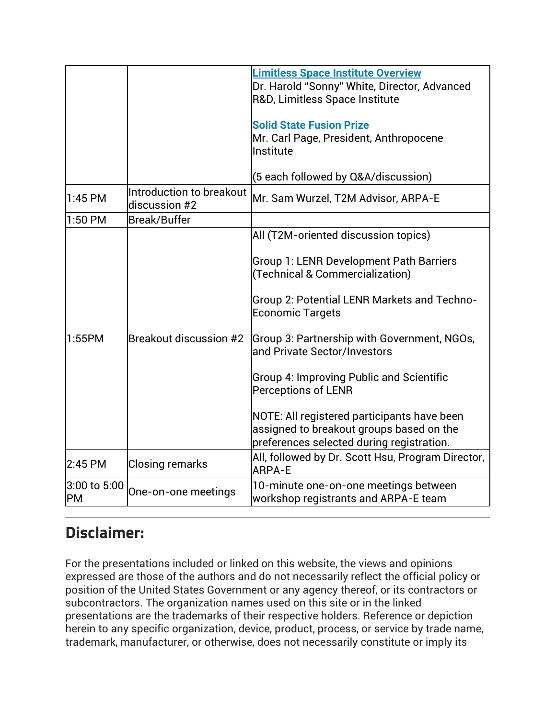|                           |                                           | <b>Limitless Space Institute Overview</b><br>Dr. Harold "Sonny" White, Director, Advanced<br>R&D, Limitless Space Institute          |
|---------------------------|-------------------------------------------|--------------------------------------------------------------------------------------------------------------------------------------|
|                           |                                           | <b>Solid State Fusion Prize</b><br>Mr. Carl Page, President, Anthropocene<br>Institute                                               |
|                           |                                           | (5 each followed by Q&A/discussion)                                                                                                  |
| $1:45$ PM                 | Introduction to breakout<br>discussion #2 | Mr. Sam Wurzel, T2M Advisor, ARPA-E                                                                                                  |
| 1:50 PM                   | <b>Break/Buffer</b>                       |                                                                                                                                      |
|                           |                                           | All (T2M-oriented discussion topics)                                                                                                 |
|                           |                                           | <b>Group 1: LENR Development Path Barriers</b><br>(Technical & Commercialization)                                                    |
|                           |                                           | Group 2: Potential LENR Markets and Techno-<br><b>Economic Targets</b>                                                               |
| 1:55PM                    | <b>Breakout discussion #2</b>             | Group 3: Partnership with Government, NGOs,<br>and Private Sector/Investors                                                          |
|                           |                                           | <b>Group 4: Improving Public and Scientific</b><br><b>Perceptions of LENR</b>                                                        |
|                           |                                           | NOTE: All registered participants have been<br>assigned to breakout groups based on the<br>preferences selected during registration. |
| 2:45 PM                   | <b>Closing remarks</b>                    | All, followed by Dr. Scott Hsu, Program Director,<br><b>ARPA-E</b>                                                                   |
| 3:00 to 5:00<br><b>PM</b> | One-on-one meetings                       | 10-minute one-on-one meetings between<br>workshop registrants and ARPA-E team                                                        |

# **Disclaimer:**

For the presentations included or linked on this website, the views and opinions expressed are those of the authors and do not necessarily reflect the official policy or position of the United States Government or any agency thereof, or its contractors or subcontractors. The organization names used on this site or in the linked presentations are the trademarks of their respective holders. Reference or depiction herein to any specific organization, device, product, process, or service by trade name, trademark, manufacturer, or otherwise, does not necessarily constitute or imply its